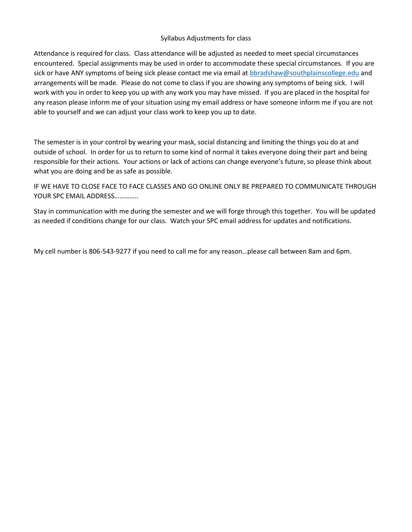## Syllabus Adjustments for class

Attendance is required for class. Class attendance will be adjusted as needed to meet special circumstances encountered. Special assignments may be used in order to accommodate these special circumstances. If you are sick or have ANY symptoms of being sick please contact me via email at [bbradshaw@southplainscollege.edu](mailto:bbradshaw@southplainscollege.edu) and arrangements will be made. Please do not come to class if you are showing any symptoms of being sick. I will work with you in order to keep you up with any work you may have missed. If you are placed in the hospital for any reason please inform me of your situation using my email address or have someone inform me if you are not able to yourself and we can adjust your class work to keep you up to date.

The semester is in your control by wearing your mask, social distancing and limiting the things you do at and outside of school. In order for us to return to some kind of normal it takes everyone doing their part and being responsible for their actions. Your actions or lack of actions can change everyone's future, so please think about what you are doing and be as safe as possible.

IF WE HAVE TO CLOSE FACE TO FACE CLASSES AND GO ONLINE ONLY BE PREPARED TO COMMUNICATE THROUGH YOUR SPC EMAIL ADDRESS…………..

Stay in communication with me during the semester and we will forge through this together. You will be updated as needed if conditions change for our class. Watch your SPC email address for updates and notifications.

My cell number is 806-543-9277 if you need to call me for any reason…please call between 8am and 6pm.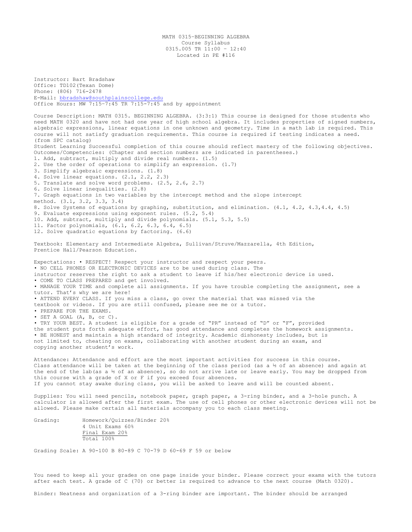MATH 0315–BEGINNING ALGEBRA Course Syllabus 0315.005 TR 11:00 – 12:40 Located in PE #116

Instructor: Bart Bradshaw Office: TD102(Texan Dome) Phone: (806) 716-2478 E-Mail: [bbradshaw@southplainscollege.edu](mailto:bbradshaw@southplainscollege.edu) Office Hours: MW 7:15–7:45 TR 7:15-7:45 and by appointment Course Description: MATH 0315. BEGINNING ALGEBRA. (3:3:1) This course is designed for those students who need MATH 0320 and have not had one year of high school algebra. It includes properties of signed numbers, algebraic expressions, linear equations in one unknown and geometry. Time in a math lab is required. This course will not satisfy graduation requirements. This course is required if testing indicates a need. (from SPC catalog) Student Learning Successful completion of this course should reflect mastery of the following objectives. Outcomes/Competencies: (Chapter and section numbers are indicated in parentheses.) 1. Add, subtract, multiply and divide real numbers. (1.5) 2. Use the order of operations to simplify an expression. (1.7) 3. Simplify algebraic expressions. (1.8) 4. Solve linear equations. (2.1, 2.2, 2.3) 5. Translate and solve word problems. (2.5, 2.6, 2.7) 6. Solve linear inequalities. (2.8) 7. Graph equations in two variables by the intercept method and the slope intercept method. (3.1, 3.2, 3.3, 3.4) 8. Solve Systems of equations by graphing, substitution, and elimination. (4.1, 4.2, 4.3,4.4, 4.5) 9. Evaluate expressions using exponent rules. (5.2, 5.4) 10. Add, subtract, multiply and divide polynomials. (5.1, 5.3, 5.5) 11. Factor polynomials, (6.1, 6.2, 6.3, 6.4, 6.5) 12. Solve quadratic equations by factoring. (6.6) Textbook: Elementary and Intermediate Algebra, Sullivan/Struve/Mazzarella, 4th Edition, Prentice Hall/Pearson Education. Expectations: • RESPECT! Respect your instructor and respect your peers. • NO CELL PHONES OR ELECTRONIC DEVICES are to be used during class. The instructor reserves the right to ask a student to leave if his/her electronic device is used. • COME TO CLASS PREPARED and get involved. • MANAGE YOUR TIME and complete all assignments. If you have trouble completing the assignment, see a tutor. That's why we are here! • ATTEND EVERY CLASS. If you miss a class, go over the material that was missed via the textbook or videos. If you are still confused, please see me or a tutor. • PREPARE FOR THE EXAMS. • SET A GOAL (A, B, or C). • TRY YOUR BEST. A student is eligible for a grade of "PR" instead of "D" or "F", provided the student puts forth adequate effort, has good attendance and completes the homework assignments. • BE HONEST and maintain a high standard of integrity. Academic dishonesty includes, but is not limited to, cheating on exams, collaborating with another student during an exam, and copying another student's work. Attendance: Attendance and effort are the most important activities for success in this course. Class attendance will be taken at the beginning of the class period (as a ½ of an absence) and again at the end of the lab(as a ½ of an absence), so do not arrive late or leave early. You may be dropped from this course with a grade of X or F if you exceed four absences. If you cannot stay awake during class, you will be asked to leave and will be counted absent. Supplies: You will need pencils, notebook paper, graph paper, a 3-ring binder, and a 3-hole punch. A calculator is allowed after the first exam. The use of cell phones or other electronic devices will not be allowed. Please make certain all materials accompany you to each class meeting. Grading: Homework/Quizzes/Binder 20% 4 Unit Exams 60% Final Exam 20% Total 100%

Grading Scale: A 90-100 B 80-89 C 70-79 D 60-69 F 59 or below

You need to keep all your grades on one page inside your binder. Please correct your exams with the tutors after each test. A grade of C (70) or better is required to advance to the next course (Math 0320).

Binder: Neatness and organization of a 3-ring binder are important. The binder should be arranged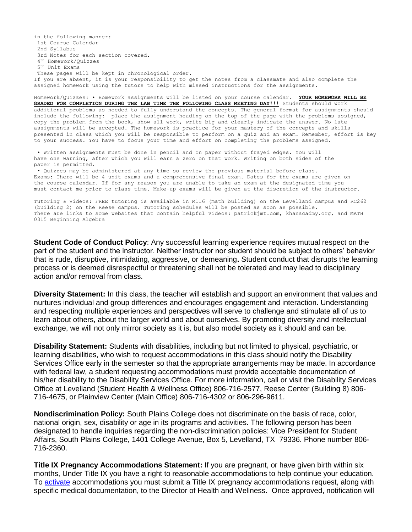in the following manner: 1st Course Calendar 2nd Syllabus 3rd Notes for each section covered. 4 th Homework/Quizzes 5 th Unit Exams These pages will be kept in chronological order. If you are absent, it is your responsibility to get the notes from a classmate and also complete the assigned homework using the tutors to help with missed instructions for the assignments.

Homework/Quizzes: • Homework assignments will be listed on your course calendar. **YOUR HOMEWORK WILL BE GRADED FOR COMPLETION DURING THE LAB TIME THE FOLLOWING CLASS MEETING DAY!!!** Students should work additional problems as needed to fully understand the concepts. The general format for assignments should include the following: place the assignment heading on the top of the page with the problems assigned, copy the problem from the book, show all work, write big and clearly indicate the answer. No late assignments will be accepted. The homework is practice for your mastery of the concepts and skills presented in class which you will be responsible to perform on a quiz and an exam. Remember, effort is key to your success. You have to focus your time and effort on completing the problems assigned.

• Written assignments must be done in pencil and on paper without frayed edges. You will have one warning, after which you will earn a zero on that work. Writing on both sides of the paper is permitted.

• Quizzes may be administered at any time so review the previous material before class. Exams: There will be 4 unit exams and a comprehensive final exam. Dates for the exams are given on the course calendar. If for any reason you are unable to take an exam at the designated time you must contact me prior to class time. Make-up exams will be given at the discretion of the instructor.

Tutoring & Videos: FREE tutoring is available in M116 (math building) on the Levelland campus and RC262 (building 2) on the Reese campus. Tutoring schedules will be posted as soon as possible. There are links to some websites that contain helpful videos: patrickjmt.com, khanacadmy.org, and MATH 0315 Beginning Algebra

**Student Code of Conduct Policy**: Any successful learning experience requires mutual respect on the part of the student and the instructor. Neither instructor nor student should be subject to others' behavior that is rude, disruptive, intimidating, aggressive, or demeaning**.** Student conduct that disrupts the learning process or is deemed disrespectful or threatening shall not be tolerated and may lead to disciplinary action and/or removal from class.

**Diversity Statement:** In this class, the teacher will establish and support an environment that values and nurtures individual and group differences and encourages engagement and interaction. Understanding and respecting multiple experiences and perspectives will serve to challenge and stimulate all of us to learn about others, about the larger world and about ourselves. By promoting diversity and intellectual exchange, we will not only mirror society as it is, but also model society as it should and can be.

**Disability Statement:** Students with disabilities, including but not limited to physical, psychiatric, or learning disabilities, who wish to request accommodations in this class should notify the Disability Services Office early in the semester so that the appropriate arrangements may be made. In accordance with federal law, a student requesting accommodations must provide acceptable documentation of his/her disability to the Disability Services Office. For more information, call or visit the Disability Services Office at Levelland (Student Health & Wellness Office) 806-716-2577, Reese Center (Building 8) 806- 716-4675, or Plainview Center (Main Office) 806-716-4302 or 806-296-9611.

**Nondiscrimination Policy:** South Plains College does not discriminate on the basis of race, color, national origin, sex, disability or age in its programs and activities. The following person has been designated to handle inquiries regarding the non-discrimination policies: Vice President for Student Affairs, South Plains College, 1401 College Avenue, Box 5, Levelland, TX 79336. Phone number 806- 716-2360.

**Title IX Pregnancy Accommodations Statement:** If you are pregnant, or have given birth within six months, Under Title IX you have a right to reasonable accommodations to help continue your education. To [activate](http://www.southplainscollege.edu/employees/manualshandbooks/facultyhandbook/sec4.php) accommodations you must submit a Title IX pregnancy accommodations request, along with specific medical documentation, to the Director of Health and Wellness. Once approved, notification will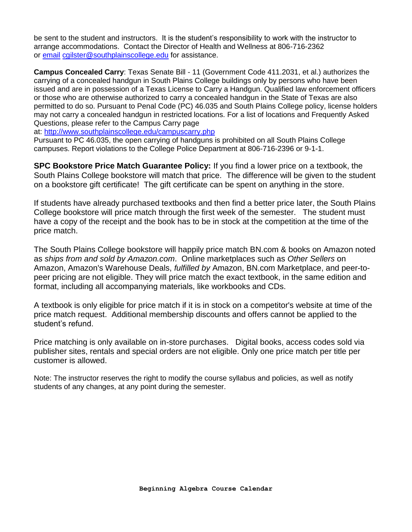be sent to the student and instructors. It is the student's responsibility to work with the instructor to arrange accommodations. Contact the Director of Health and Wellness at 806-716-2362 or [email](http://www.southplainscollege.edu/employees/manualshandbooks/facultyhandbook/sec4.php) [cgilster@southplainscollege.edu](mailto:cgilster@southplainscollege.edu) for assistance.

**Campus Concealed Carry**: Texas Senate Bill - 11 (Government Code 411.2031, et al.) authorizes the carrying of a concealed handgun in South Plains College buildings only by persons who have been issued and are in possession of a Texas License to Carry a Handgun. Qualified law enforcement officers or those who are otherwise authorized to carry a concealed handgun in the State of Texas are also permitted to do so. Pursuant to Penal Code (PC) 46.035 and South Plains College policy, license holders may not carry a concealed handgun in restricted locations. For a list of locations and Frequently Asked Questions, please refer to the Campus Carry page

at: <http://www.southplainscollege.edu/campuscarry.php>

Pursuant to PC 46.035, the open carrying of handguns is prohibited on all South Plains College campuses. Report violations to the College Police Department at 806-716-2396 or 9-1-1.

**SPC Bookstore Price Match Guarantee Policy:** If you find a lower price on a textbook, the South Plains College bookstore will match that price. The difference will be given to the student on a bookstore gift certificate! The gift certificate can be spent on anything in the store.

If students have already purchased textbooks and then find a better price later, the South Plains College bookstore will price match through the first week of the semester. The student must have a copy of the receipt and the book has to be in stock at the competition at the time of the price match.

The South Plains College bookstore will happily price match BN.com & books on Amazon noted as *ships from and sold by Amazon.com*. Online marketplaces such as *Other Sellers* on Amazon, Amazon's Warehouse Deals, *fulfilled by* Amazon, BN.com Marketplace, and peer-topeer pricing are not eligible. They will price match the exact textbook, in the same edition and format, including all accompanying materials, like workbooks and CDs.

A textbook is only eligible for price match if it is in stock on a competitor's website at time of the price match request. Additional membership discounts and offers cannot be applied to the student's refund.

Price matching is only available on in-store purchases. Digital books, access codes sold via publisher sites, rentals and special orders are not eligible. Only one price match per title per customer is allowed.

Note: The instructor reserves the right to modify the course syllabus and policies, as well as notify students of any changes, at any point during the semester.